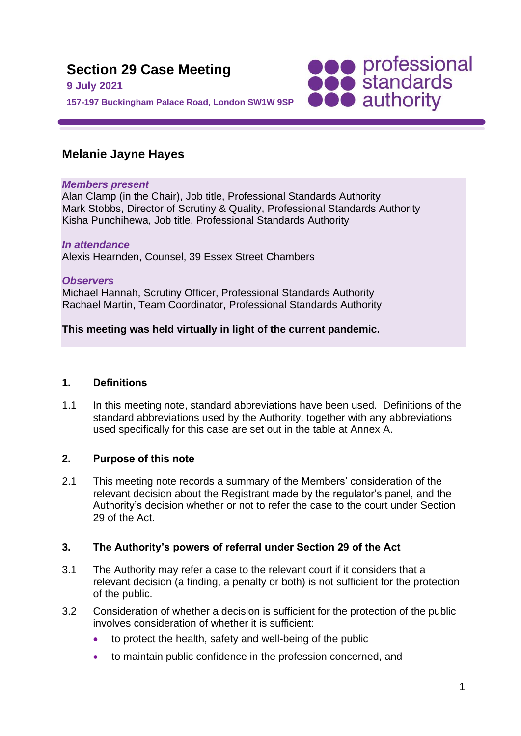

# **Melanie Jayne Hayes**

### *Members present*

Alan Clamp (in the Chair), Job title, Professional Standards Authority Mark Stobbs, Director of Scrutiny & Quality, Professional Standards Authority Kisha Punchihewa, Job title, Professional Standards Authority

## *In attendance*

Alexis Hearnden, Counsel, 39 Essex Street Chambers

*Observers* Michael Hannah, Scrutiny Officer, Professional Standards Authority Rachael Martin, Team Coordinator, Professional Standards Authority

# **This meeting was held virtually in light of the current pandemic.**

## **1. Definitions**

1.1 In this meeting note, standard abbreviations have been used. Definitions of the standard abbreviations used by the Authority, together with any abbreviations used specifically for this case are set out in the table at Annex A.

## **2. Purpose of this note**

2.1 This meeting note records a summary of the Members' consideration of the relevant decision about the Registrant made by the regulator's panel, and the Authority's decision whether or not to refer the case to the court under Section 29 of the Act.

## **3. The Authority's powers of referral under Section 29 of the Act**

- 3.1 The Authority may refer a case to the relevant court if it considers that a relevant decision (a finding, a penalty or both) is not sufficient for the protection of the public.
- 3.2 Consideration of whether a decision is sufficient for the protection of the public involves consideration of whether it is sufficient:
	- to protect the health, safety and well-being of the public
	- to maintain public confidence in the profession concerned, and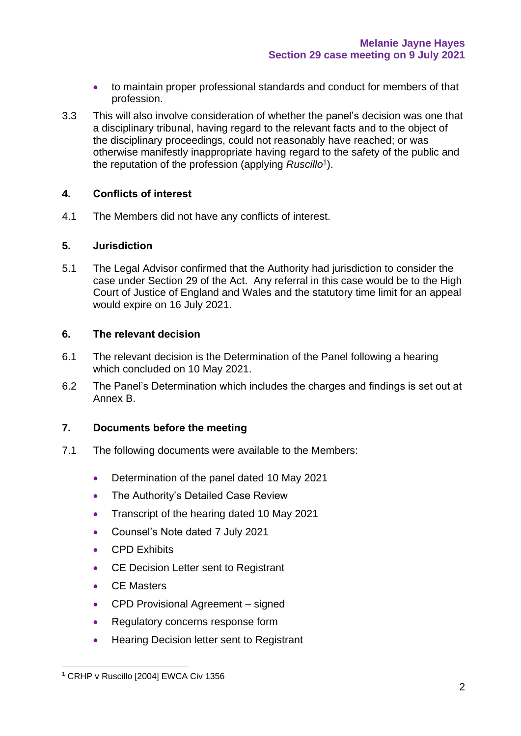- to maintain proper professional standards and conduct for members of that profession.
- 3.3 This will also involve consideration of whether the panel's decision was one that a disciplinary tribunal, having regard to the relevant facts and to the object of the disciplinary proceedings, could not reasonably have reached; or was otherwise manifestly inappropriate having regard to the safety of the public and the reputation of the profession (applying *Ruscillo*<sup>1</sup> ).

### **4. Conflicts of interest**

4.1 The Members did not have any conflicts of interest.

### **5. Jurisdiction**

5.1 The Legal Advisor confirmed that the Authority had jurisdiction to consider the case under Section 29 of the Act. Any referral in this case would be to the High Court of Justice of England and Wales and the statutory time limit for an appeal would expire on 16 July 2021.

### **6. The relevant decision**

- 6.1 The relevant decision is the Determination of the Panel following a hearing which concluded on 10 May 2021.
- 6.2 The Panel's Determination which includes the charges and findings is set out at Annex B.

### **7. Documents before the meeting**

- 7.1 The following documents were available to the Members:
	- Determination of the panel dated 10 May 2021
	- The Authority's Detailed Case Review
	- Transcript of the hearing dated 10 May 2021
	- Counsel's Note dated 7 July 2021
	- CPD Exhibits
	- CE Decision Letter sent to Registrant
	- CE Masters
	- CPD Provisional Agreement signed
	- Regulatory concerns response form
	- Hearing Decision letter sent to Registrant

<sup>&</sup>lt;sup>1</sup> CRHP v Ruscillo [2004] EWCA Civ 1356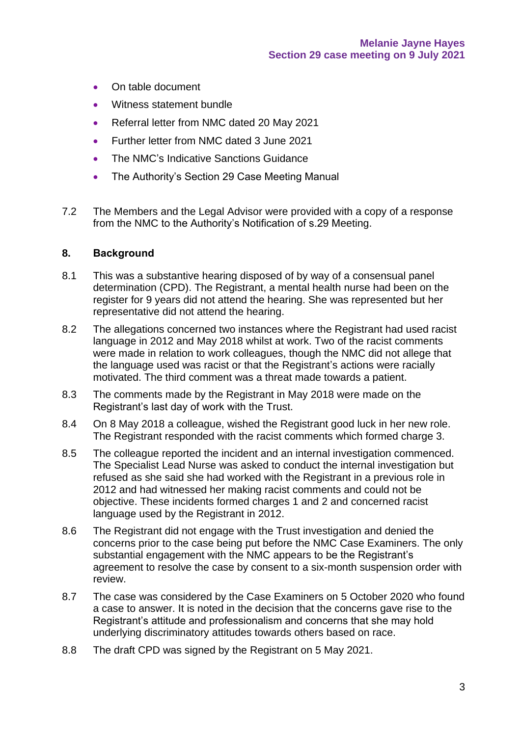- On table document
- Witness statement bundle
- Referral letter from NMC dated 20 May 2021
- Further letter from NMC dated 3 June 2021
- The NMC's Indicative Sanctions Guidance
- The Authority's Section 29 Case Meeting Manual
- 7.2 The Members and the Legal Advisor were provided with a copy of a response from the NMC to the Authority's Notification of s.29 Meeting.

#### **8. Background**

- 8.1 This was a substantive hearing disposed of by way of a consensual panel determination (CPD). The Registrant, a mental health nurse had been on the register for 9 years did not attend the hearing. She was represented but her representative did not attend the hearing.
- 8.2 The allegations concerned two instances where the Registrant had used racist language in 2012 and May 2018 whilst at work. Two of the racist comments were made in relation to work colleagues, though the NMC did not allege that the language used was racist or that the Registrant's actions were racially motivated. The third comment was a threat made towards a patient.
- 8.3 The comments made by the Registrant in May 2018 were made on the Registrant's last day of work with the Trust.
- 8.4 On 8 May 2018 a colleague, wished the Registrant good luck in her new role. The Registrant responded with the racist comments which formed charge 3.
- 8.5 The colleague reported the incident and an internal investigation commenced. The Specialist Lead Nurse was asked to conduct the internal investigation but refused as she said she had worked with the Registrant in a previous role in 2012 and had witnessed her making racist comments and could not be objective. These incidents formed charges 1 and 2 and concerned racist language used by the Registrant in 2012.
- 8.6 The Registrant did not engage with the Trust investigation and denied the concerns prior to the case being put before the NMC Case Examiners. The only substantial engagement with the NMC appears to be the Registrant's agreement to resolve the case by consent to a six-month suspension order with review.
- 8.7 The case was considered by the Case Examiners on 5 October 2020 who found a case to answer. It is noted in the decision that the concerns gave rise to the Registrant's attitude and professionalism and concerns that she may hold underlying discriminatory attitudes towards others based on race.
- 8.8 The draft CPD was signed by the Registrant on 5 May 2021.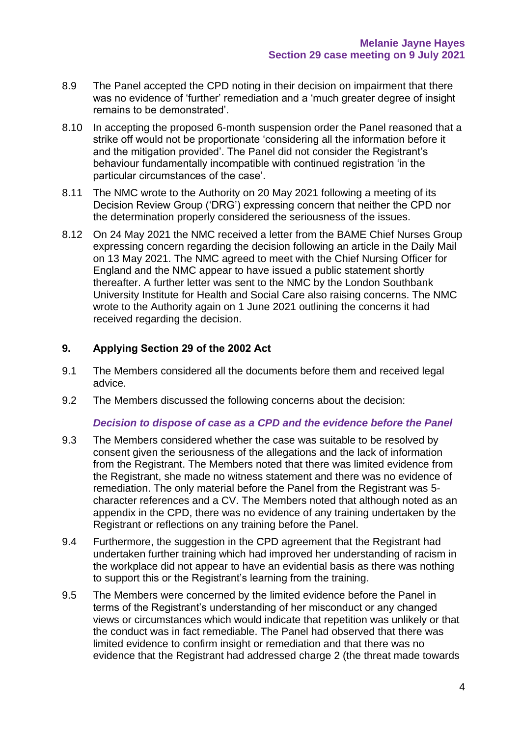- 8.9 The Panel accepted the CPD noting in their decision on impairment that there was no evidence of 'further' remediation and a 'much greater degree of insight remains to be demonstrated'.
- 8.10 In accepting the proposed 6-month suspension order the Panel reasoned that a strike off would not be proportionate 'considering all the information before it and the mitigation provided'. The Panel did not consider the Registrant's behaviour fundamentally incompatible with continued registration 'in the particular circumstances of the case'.
- 8.11 The NMC wrote to the Authority on 20 May 2021 following a meeting of its Decision Review Group ('DRG') expressing concern that neither the CPD nor the determination properly considered the seriousness of the issues.
- 8.12 On 24 May 2021 the NMC received a letter from the BAME Chief Nurses Group expressing concern regarding the decision following an article in the Daily Mail on 13 May 2021. The NMC agreed to meet with the Chief Nursing Officer for England and the NMC appear to have issued a public statement shortly thereafter. A further letter was sent to the NMC by the London Southbank University Institute for Health and Social Care also raising concerns. The NMC wrote to the Authority again on 1 June 2021 outlining the concerns it had received regarding the decision.

## **9. Applying Section 29 of the 2002 Act**

- 9.1 The Members considered all the documents before them and received legal advice.
- 9.2 The Members discussed the following concerns about the decision:

#### *Decision to dispose of case as a CPD and the evidence before the Panel*

- 9.3 The Members considered whether the case was suitable to be resolved by consent given the seriousness of the allegations and the lack of information from the Registrant. The Members noted that there was limited evidence from the Registrant, she made no witness statement and there was no evidence of remediation. The only material before the Panel from the Registrant was 5 character references and a CV. The Members noted that although noted as an appendix in the CPD, there was no evidence of any training undertaken by the Registrant or reflections on any training before the Panel.
- 9.4 Furthermore, the suggestion in the CPD agreement that the Registrant had undertaken further training which had improved her understanding of racism in the workplace did not appear to have an evidential basis as there was nothing to support this or the Registrant's learning from the training.
- 9.5 The Members were concerned by the limited evidence before the Panel in terms of the Registrant's understanding of her misconduct or any changed views or circumstances which would indicate that repetition was unlikely or that the conduct was in fact remediable. The Panel had observed that there was limited evidence to confirm insight or remediation and that there was no evidence that the Registrant had addressed charge 2 (the threat made towards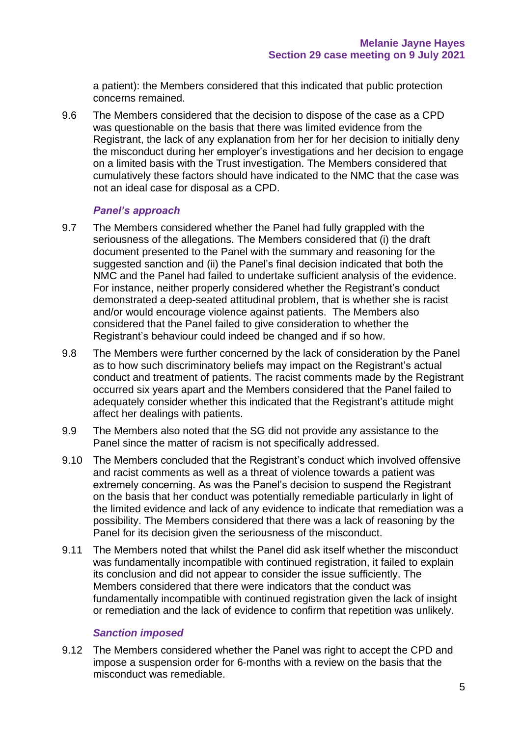a patient): the Members considered that this indicated that public protection concerns remained.

9.6 The Members considered that the decision to dispose of the case as a CPD was questionable on the basis that there was limited evidence from the Registrant, the lack of any explanation from her for her decision to initially deny the misconduct during her employer's investigations and her decision to engage on a limited basis with the Trust investigation. The Members considered that cumulatively these factors should have indicated to the NMC that the case was not an ideal case for disposal as a CPD.

### *Panel's approach*

- 9.7 The Members considered whether the Panel had fully grappled with the seriousness of the allegations. The Members considered that (i) the draft document presented to the Panel with the summary and reasoning for the suggested sanction and (ii) the Panel's final decision indicated that both the NMC and the Panel had failed to undertake sufficient analysis of the evidence. For instance, neither properly considered whether the Registrant's conduct demonstrated a deep-seated attitudinal problem, that is whether she is racist and/or would encourage violence against patients. The Members also considered that the Panel failed to give consideration to whether the Registrant's behaviour could indeed be changed and if so how.
- 9.8 The Members were further concerned by the lack of consideration by the Panel as to how such discriminatory beliefs may impact on the Registrant's actual conduct and treatment of patients. The racist comments made by the Registrant occurred six years apart and the Members considered that the Panel failed to adequately consider whether this indicated that the Registrant's attitude might affect her dealings with patients.
- 9.9 The Members also noted that the SG did not provide any assistance to the Panel since the matter of racism is not specifically addressed.
- 9.10 The Members concluded that the Registrant's conduct which involved offensive and racist comments as well as a threat of violence towards a patient was extremely concerning. As was the Panel's decision to suspend the Registrant on the basis that her conduct was potentially remediable particularly in light of the limited evidence and lack of any evidence to indicate that remediation was a possibility. The Members considered that there was a lack of reasoning by the Panel for its decision given the seriousness of the misconduct.
- 9.11 The Members noted that whilst the Panel did ask itself whether the misconduct was fundamentally incompatible with continued registration, it failed to explain its conclusion and did not appear to consider the issue sufficiently. The Members considered that there were indicators that the conduct was fundamentally incompatible with continued registration given the lack of insight or remediation and the lack of evidence to confirm that repetition was unlikely.

### *Sanction imposed*

9.12 The Members considered whether the Panel was right to accept the CPD and impose a suspension order for 6-months with a review on the basis that the misconduct was remediable.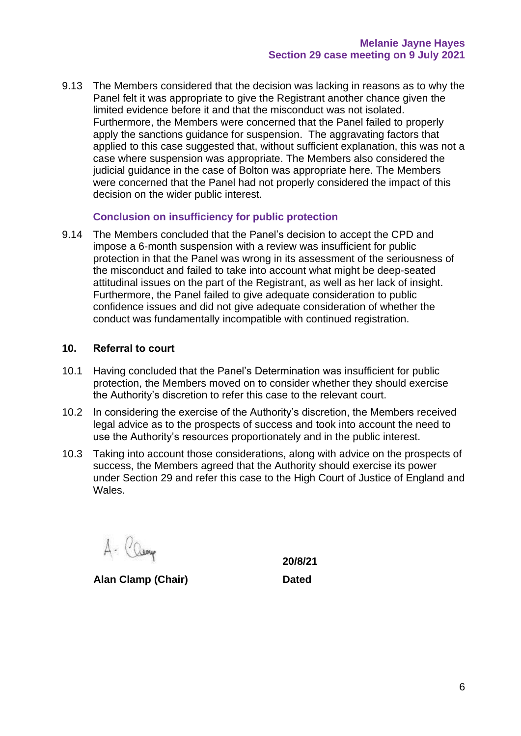9.13 The Members considered that the decision was lacking in reasons as to why the Panel felt it was appropriate to give the Registrant another chance given the limited evidence before it and that the misconduct was not isolated. Furthermore, the Members were concerned that the Panel failed to properly apply the sanctions quidance for suspension. The aggravating factors that applied to this case suggested that, without sufficient explanation, this was not a case where suspension was appropriate. The Members also considered the judicial guidance in the case of Bolton was appropriate here. The Members were concerned that the Panel had not properly considered the impact of this decision on the wider public interest.

### **Conclusion on insufficiency for public protection**

9.14 The Members concluded that the Panel's decision to accept the CPD and impose a 6-month suspension with a review was insufficient for public protection in that the Panel was wrong in its assessment of the seriousness of the misconduct and failed to take into account what might be deep-seated attitudinal issues on the part of the Registrant, as well as her lack of insight. Furthermore, the Panel failed to give adequate consideration to public confidence issues and did not give adequate consideration of whether the conduct was fundamentally incompatible with continued registration.

#### **10. Referral to court**

- 10.1 Having concluded that the Panel's Determination was insufficient for public protection, the Members moved on to consider whether they should exercise the Authority's discretion to refer this case to the relevant court.
- 10.2 In considering the exercise of the Authority's discretion, the Members received legal advice as to the prospects of success and took into account the need to use the Authority's resources proportionately and in the public interest.
- 10.3 Taking into account those considerations, along with advice on the prospects of success, the Members agreed that the Authority should exercise its power under Section 29 and refer this case to the High Court of Justice of England and Wales.

A- Camp

**Alan Clamp (Chair) Dated**

**20/8/21**